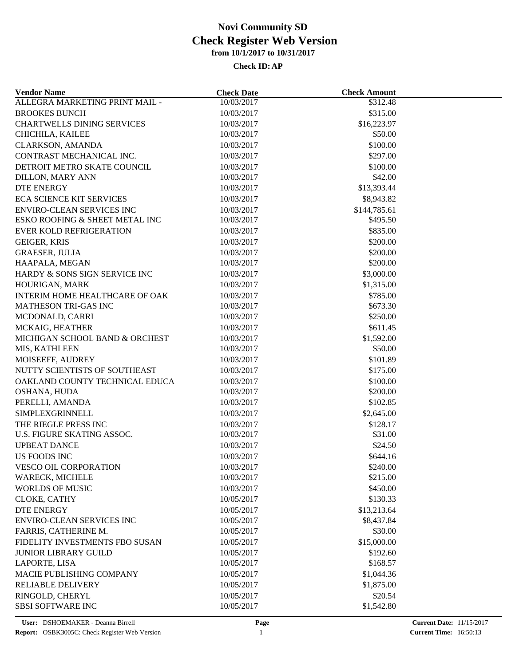| <b>Vendor Name</b>                | <b>Check Date</b>        | <b>Check Amount</b>  |  |
|-----------------------------------|--------------------------|----------------------|--|
| ALLEGRA MARKETING PRINT MAIL -    | 10/03/2017               | $\overline{$312.48}$ |  |
| <b>BROOKES BUNCH</b>              | 10/03/2017               | \$315.00             |  |
| <b>CHARTWELLS DINING SERVICES</b> | 10/03/2017               | \$16,223.97          |  |
| CHICHILA, KAILEE                  | 10/03/2017               | \$50.00              |  |
| <b>CLARKSON, AMANDA</b>           | 10/03/2017               | \$100.00             |  |
| CONTRAST MECHANICAL INC.          | 10/03/2017               | \$297.00             |  |
| DETROIT METRO SKATE COUNCIL       | 10/03/2017               | \$100.00             |  |
| <b>DILLON, MARY ANN</b>           | 10/03/2017               | \$42.00              |  |
| <b>DTE ENERGY</b>                 | 10/03/2017               | \$13,393.44          |  |
| <b>ECA SCIENCE KIT SERVICES</b>   | 10/03/2017               | \$8,943.82           |  |
| <b>ENVIRO-CLEAN SERVICES INC</b>  | 10/03/2017               | \$144,785.61         |  |
| ESKO ROOFING & SHEET METAL INC    | 10/03/2017               | \$495.50             |  |
| EVER KOLD REFRIGERATION           | 10/03/2017               | \$835.00             |  |
| <b>GEIGER, KRIS</b>               | 10/03/2017               | \$200.00             |  |
| <b>GRAESER, JULIA</b>             | 10/03/2017               | \$200.00             |  |
| HAAPALA, MEGAN                    | 10/03/2017               | \$200.00             |  |
| HARDY & SONS SIGN SERVICE INC     | 10/03/2017               | \$3,000.00           |  |
| HOURIGAN, MARK                    | 10/03/2017               | \$1,315.00           |  |
| INTERIM HOME HEALTHCARE OF OAK    | 10/03/2017               | \$785.00             |  |
| MATHESON TRI-GAS INC              | 10/03/2017               | \$673.30             |  |
| MCDONALD, CARRI                   | 10/03/2017               | \$250.00             |  |
| MCKAIG, HEATHER                   | 10/03/2017               | \$611.45             |  |
| MICHIGAN SCHOOL BAND & ORCHEST    | 10/03/2017               | \$1,592.00           |  |
| MIS, KATHLEEN                     | 10/03/2017               | \$50.00              |  |
| MOISEEFF, AUDREY                  | 10/03/2017               | \$101.89             |  |
| NUTTY SCIENTISTS OF SOUTHEAST     | 10/03/2017               | \$175.00             |  |
| OAKLAND COUNTY TECHNICAL EDUCA    | 10/03/2017               | \$100.00             |  |
| OSHANA, HUDA                      | 10/03/2017               | \$200.00             |  |
| PERELLI, AMANDA                   | 10/03/2017               | \$102.85             |  |
| SIMPLEXGRINNELL                   | 10/03/2017               | \$2,645.00           |  |
| THE RIEGLE PRESS INC              |                          | \$128.17             |  |
| U.S. FIGURE SKATING ASSOC.        | 10/03/2017<br>10/03/2017 | \$31.00              |  |
| <b>UPBEAT DANCE</b>               | 10/03/2017               | \$24.50              |  |
|                                   |                          |                      |  |
| <b>US FOODS INC</b>               | 10/03/2017               | \$644.16<br>\$240.00 |  |
| VESCO OIL CORPORATION             | 10/03/2017               |                      |  |
| WARECK, MICHELE                   | 10/03/2017               | \$215.00             |  |
| <b>WORLDS OF MUSIC</b>            | 10/03/2017               | \$450.00             |  |
| CLOKE, CATHY                      | 10/05/2017               | \$130.33             |  |
| <b>DTE ENERGY</b>                 | 10/05/2017               | \$13,213.64          |  |
| <b>ENVIRO-CLEAN SERVICES INC</b>  | 10/05/2017               | \$8,437.84           |  |
| FARRIS, CATHERINE M.              | 10/05/2017               | \$30.00              |  |
| FIDELITY INVESTMENTS FBO SUSAN    | 10/05/2017               | \$15,000.00          |  |
| <b>JUNIOR LIBRARY GUILD</b>       | 10/05/2017               | \$192.60             |  |
| LAPORTE, LISA                     | 10/05/2017               | \$168.57             |  |
| MACIE PUBLISHING COMPANY          | 10/05/2017               | \$1,044.36           |  |
| <b>RELIABLE DELIVERY</b>          | 10/05/2017               | \$1,875.00           |  |
| RINGOLD, CHERYL                   | 10/05/2017               | \$20.54              |  |
| <b>SBSI SOFTWARE INC</b>          | 10/05/2017               | \$1,542.80           |  |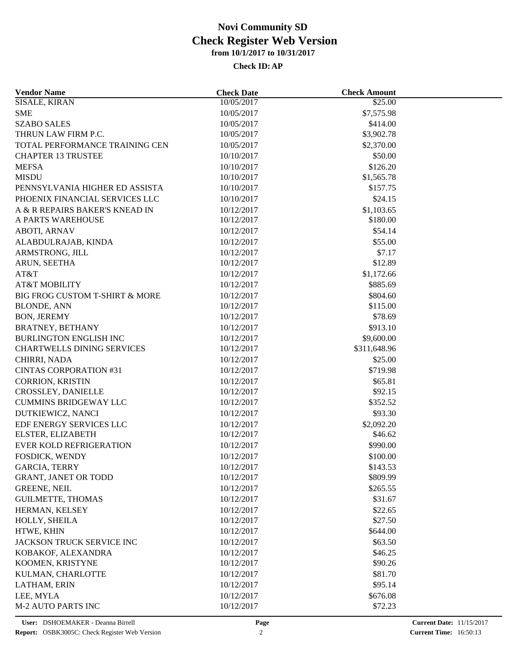| <b>Vendor Name</b>                | <b>Check Date</b> | <b>Check Amount</b> |  |
|-----------------------------------|-------------------|---------------------|--|
| <b>SISALE, KIRAN</b>              | 10/05/2017        | \$25.00             |  |
| <b>SME</b>                        | 10/05/2017        | \$7,575.98          |  |
| <b>SZABO SALES</b>                | 10/05/2017        | \$414.00            |  |
| THRUN LAW FIRM P.C.               | 10/05/2017        | \$3,902.78          |  |
| TOTAL PERFORMANCE TRAINING CEN    | 10/05/2017        | \$2,370.00          |  |
| <b>CHAPTER 13 TRUSTEE</b>         | 10/10/2017        | \$50.00             |  |
| <b>MEFSA</b>                      | 10/10/2017        | \$126.20            |  |
| <b>MISDU</b>                      | 10/10/2017        | \$1,565.78          |  |
| PENNSYLVANIA HIGHER ED ASSISTA    | 10/10/2017        | \$157.75            |  |
| PHOENIX FINANCIAL SERVICES LLC    | 10/10/2017        | \$24.15             |  |
| A & R REPAIRS BAKER'S KNEAD IN    | 10/12/2017        | \$1,103.65          |  |
| A PARTS WAREHOUSE                 | 10/12/2017        | \$180.00            |  |
| <b>ABOTI, ARNAV</b>               | 10/12/2017        | \$54.14             |  |
| ALABDULRAJAB, KINDA               | 10/12/2017        | \$55.00             |  |
| ARMSTRONG, JILL                   | 10/12/2017        | \$7.17              |  |
| ARUN, SEETHA                      | 10/12/2017        | \$12.89             |  |
| AT&T                              | 10/12/2017        | \$1,172.66          |  |
| <b>AT&amp;T MOBILITY</b>          | 10/12/2017        | \$885.69            |  |
| BIG FROG CUSTOM T-SHIRT & MORE    | 10/12/2017        | \$804.60            |  |
| <b>BLONDE, ANN</b>                | 10/12/2017        | \$115.00            |  |
| <b>BON, JEREMY</b>                | 10/12/2017        | \$78.69             |  |
| <b>BRATNEY, BETHANY</b>           | 10/12/2017        | \$913.10            |  |
| <b>BURLINGTON ENGLISH INC</b>     | 10/12/2017        | \$9,600.00          |  |
| <b>CHARTWELLS DINING SERVICES</b> | 10/12/2017        | \$311,648.96        |  |
| CHIRRI, NADA                      | 10/12/2017        | \$25.00             |  |
| <b>CINTAS CORPORATION #31</b>     | 10/12/2017        | \$719.98            |  |
| <b>CORRION, KRISTIN</b>           | 10/12/2017        | \$65.81             |  |
| CROSSLEY, DANIELLE                | 10/12/2017        | \$92.15             |  |
| <b>CUMMINS BRIDGEWAY LLC</b>      | 10/12/2017        | \$352.52            |  |
| DUTKIEWICZ, NANCI                 | 10/12/2017        | \$93.30             |  |
| EDF ENERGY SERVICES LLC           | 10/12/2017        | \$2,092.20          |  |
| ELSTER, ELIZABETH                 | 10/12/2017        | \$46.62             |  |
| EVER KOLD REFRIGERATION           | 10/12/2017        | \$990.00            |  |
| FOSDICK, WENDY                    | 10/12/2017        | \$100.00            |  |
| <b>GARCIA, TERRY</b>              | 10/12/2017        | \$143.53            |  |
| <b>GRANT, JANET OR TODD</b>       | 10/12/2017        | \$809.99            |  |
| <b>GREENE, NEIL</b>               | 10/12/2017        | \$265.55            |  |
| <b>GUILMETTE, THOMAS</b>          | 10/12/2017        | \$31.67             |  |
|                                   |                   |                     |  |
| HERMAN, KELSEY                    | 10/12/2017        | \$22.65             |  |
| HOLLY, SHEILA<br>HTWE, KHIN       | 10/12/2017        | \$27.50<br>\$644.00 |  |
|                                   | 10/12/2017        |                     |  |
| JACKSON TRUCK SERVICE INC         | 10/12/2017        | \$63.50             |  |
| KOBAKOF, ALEXANDRA                | 10/12/2017        | \$46.25             |  |
| KOOMEN, KRISTYNE                  | 10/12/2017        | \$90.26             |  |
| KULMAN, CHARLOTTE                 | 10/12/2017        | \$81.70             |  |
| LATHAM, ERIN                      | 10/12/2017        | \$95.14             |  |
| LEE, MYLA                         | 10/12/2017        | \$676.08            |  |
| <b>M-2 AUTO PARTS INC</b>         | 10/12/2017        | \$72.23             |  |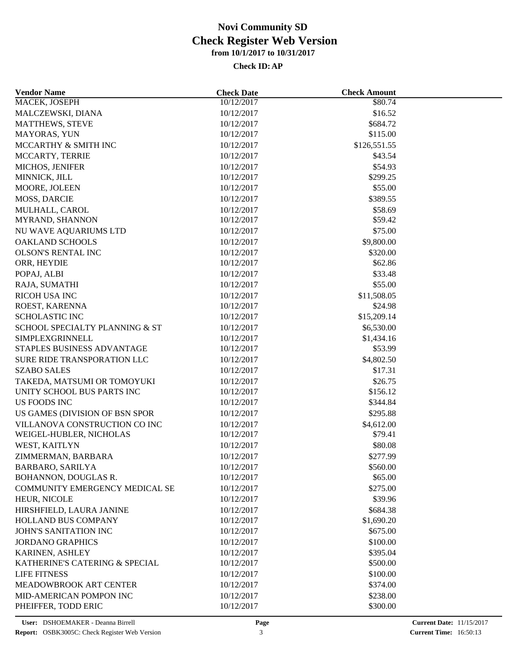| <b>Vendor Name</b>             | <b>Check Date</b>        | <b>Check Amount</b>   |  |
|--------------------------------|--------------------------|-----------------------|--|
| MACEK, JOSEPH                  | 10/12/2017               | \$80.74               |  |
| MALCZEWSKI, DIANA              | 10/12/2017               | \$16.52               |  |
| MATTHEWS, STEVE                | 10/12/2017               | \$684.72              |  |
| MAYORAS, YUN                   | 10/12/2017               | \$115.00              |  |
| MCCARTHY & SMITH INC           | 10/12/2017               | \$126,551.55          |  |
| MCCARTY, TERRIE                | 10/12/2017               | \$43.54               |  |
| MICHOS, JENIFER                | 10/12/2017               | \$54.93               |  |
| MINNICK, JILL                  | 10/12/2017               | \$299.25              |  |
| MOORE, JOLEEN                  | 10/12/2017               | \$55.00               |  |
| <b>MOSS, DARCIE</b>            | 10/12/2017               | \$389.55              |  |
| MULHALL, CAROL                 | 10/12/2017               | \$58.69               |  |
| MYRAND, SHANNON                | 10/12/2017               | \$59.42               |  |
| NU WAVE AQUARIUMS LTD          | 10/12/2017               | \$75.00               |  |
| OAKLAND SCHOOLS                | 10/12/2017               | \$9,800.00            |  |
| <b>OLSON'S RENTAL INC</b>      | 10/12/2017               | \$320.00              |  |
| ORR, HEYDIE                    | 10/12/2017               | \$62.86               |  |
| POPAJ, ALBI                    | 10/12/2017               | \$33.48               |  |
| RAJA, SUMATHI                  | 10/12/2017               | \$55.00               |  |
| RICOH USA INC                  | 10/12/2017               | \$11,508.05           |  |
| ROEST, KARENNA                 | 10/12/2017               | \$24.98               |  |
| <b>SCHOLASTIC INC</b>          | 10/12/2017               | \$15,209.14           |  |
| SCHOOL SPECIALTY PLANNING & ST | 10/12/2017               | \$6,530.00            |  |
| SIMPLEXGRINNELL                |                          |                       |  |
| STAPLES BUSINESS ADVANTAGE     | 10/12/2017<br>10/12/2017 | \$1,434.16<br>\$53.99 |  |
| SURE RIDE TRANSPORATION LLC    |                          | \$4,802.50            |  |
|                                | 10/12/2017               |                       |  |
| <b>SZABO SALES</b>             | 10/12/2017               | \$17.31               |  |
| TAKEDA, MATSUMI OR TOMOYUKI    | 10/12/2017               | \$26.75               |  |
| UNITY SCHOOL BUS PARTS INC     | 10/12/2017               | \$156.12              |  |
| US FOODS INC                   | 10/12/2017               | \$344.84              |  |
| US GAMES (DIVISION OF BSN SPOR | 10/12/2017               | \$295.88              |  |
| VILLANOVA CONSTRUCTION CO INC  | 10/12/2017               | \$4,612.00            |  |
| WEIGEL-HUBLER, NICHOLAS        | 10/12/2017               | \$79.41               |  |
| WEST, KAITLYN                  | 10/12/2017               | \$80.08               |  |
| ZIMMERMAN, BARBARA             | 10/12/2017               | \$277.99              |  |
| BARBARO, SARILYA               | 10/12/2017               | \$560.00              |  |
| BOHANNON, DOUGLAS R.           | 10/12/2017               | \$65.00               |  |
| COMMUNITY EMERGENCY MEDICAL SE | 10/12/2017               | \$275.00              |  |
| HEUR, NICOLE                   | 10/12/2017               | \$39.96               |  |
| HIRSHFIELD, LAURA JANINE       | 10/12/2017               | \$684.38              |  |
| HOLLAND BUS COMPANY            | 10/12/2017               | \$1,690.20            |  |
| JOHN'S SANITATION INC          | 10/12/2017               | \$675.00              |  |
| <b>JORDANO GRAPHICS</b>        | 10/12/2017               | \$100.00              |  |
| KARINEN, ASHLEY                | 10/12/2017               | \$395.04              |  |
| KATHERINE'S CATERING & SPECIAL | 10/12/2017               | \$500.00              |  |
| LIFE FITNESS                   | 10/12/2017               | \$100.00              |  |
| MEADOWBROOK ART CENTER         | 10/12/2017               | \$374.00              |  |
| MID-AMERICAN POMPON INC        | 10/12/2017               | \$238.00              |  |
| PHEIFFER, TODD ERIC            | 10/12/2017               | \$300.00              |  |
|                                |                          |                       |  |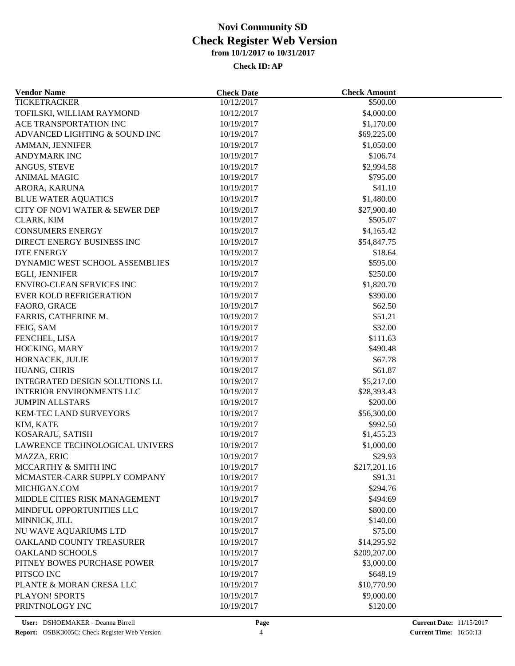| <b>Vendor Name</b>               | <b>Check Date</b> | <b>Check Amount</b> |  |
|----------------------------------|-------------------|---------------------|--|
| <b>TICKETRACKER</b>              | 10/12/2017        | \$500.00            |  |
| TOFILSKI, WILLIAM RAYMOND        | 10/12/2017        | \$4,000.00          |  |
| ACE TRANSPORTATION INC           | 10/19/2017        | \$1,170.00          |  |
| ADVANCED LIGHTING & SOUND INC    | 10/19/2017        | \$69,225.00         |  |
| AMMAN, JENNIFER                  | 10/19/2017        | \$1,050.00          |  |
| <b>ANDYMARK INC</b>              | 10/19/2017        | \$106.74            |  |
| ANGUS, STEVE                     | 10/19/2017        | \$2,994.58          |  |
| <b>ANIMAL MAGIC</b>              | 10/19/2017        | \$795.00            |  |
| ARORA, KARUNA                    | 10/19/2017        | \$41.10             |  |
| <b>BLUE WATER AQUATICS</b>       | 10/19/2017        | \$1,480.00          |  |
| CITY OF NOVI WATER & SEWER DEP   | 10/19/2017        | \$27,900.40         |  |
| CLARK, KIM                       | 10/19/2017        | \$505.07            |  |
| <b>CONSUMERS ENERGY</b>          | 10/19/2017        | \$4,165.42          |  |
| DIRECT ENERGY BUSINESS INC       | 10/19/2017        | \$54,847.75         |  |
| <b>DTE ENERGY</b>                | 10/19/2017        | \$18.64             |  |
| DYNAMIC WEST SCHOOL ASSEMBLIES   | 10/19/2017        | \$595.00            |  |
| EGLI, JENNIFER                   | 10/19/2017        | \$250.00            |  |
| <b>ENVIRO-CLEAN SERVICES INC</b> | 10/19/2017        | \$1,820.70          |  |
| <b>EVER KOLD REFRIGERATION</b>   | 10/19/2017        | \$390.00            |  |
| FAORO, GRACE                     | 10/19/2017        | \$62.50             |  |
| FARRIS, CATHERINE M.             | 10/19/2017        | \$51.21             |  |
| FEIG, SAM                        | 10/19/2017        | \$32.00             |  |
| FENCHEL, LISA                    | 10/19/2017        | \$111.63            |  |
| HOCKING, MARY                    | 10/19/2017        | \$490.48            |  |
| HORNACEK, JULIE                  | 10/19/2017        | \$67.78             |  |
|                                  |                   | \$61.87             |  |
| HUANG, CHRIS                     | 10/19/2017        |                     |  |
| INTEGRATED DESIGN SOLUTIONS LL   | 10/19/2017        | \$5,217.00          |  |
| <b>INTERIOR ENVIRONMENTS LLC</b> | 10/19/2017        | \$28,393.43         |  |
| <b>JUMPIN ALLSTARS</b>           | 10/19/2017        | \$200.00            |  |
| KEM-TEC LAND SURVEYORS           | 10/19/2017        | \$56,300.00         |  |
| KIM, KATE                        | 10/19/2017        | \$992.50            |  |
| KOSARAJU, SATISH                 | 10/19/2017        | \$1,455.23          |  |
| LAWRENCE TECHNOLOGICAL UNIVERS   | 10/19/2017        | \$1,000.00          |  |
| MAZZA, ERIC                      | 10/19/2017        | \$29.93             |  |
| MCCARTHY & SMITH INC             | 10/19/2017        | \$217,201.16        |  |
| MCMASTER-CARR SUPPLY COMPANY     | 10/19/2017        | \$91.31             |  |
| MICHIGAN.COM                     | 10/19/2017        | \$294.76            |  |
| MIDDLE CITIES RISK MANAGEMENT    | 10/19/2017        | \$494.69            |  |
| MINDFUL OPPORTUNITIES LLC        | 10/19/2017        | \$800.00            |  |
| MINNICK, JILL                    | 10/19/2017        | \$140.00            |  |
| NU WAVE AQUARIUMS LTD            | 10/19/2017        | \$75.00             |  |
| OAKLAND COUNTY TREASURER         | 10/19/2017        | \$14,295.92         |  |
| <b>OAKLAND SCHOOLS</b>           | 10/19/2017        | \$209,207.00        |  |
| PITNEY BOWES PURCHASE POWER      | 10/19/2017        | \$3,000.00          |  |
| PITSCO INC                       | 10/19/2017        | \$648.19            |  |
| PLANTE & MORAN CRESA LLC         | 10/19/2017        | \$10,770.90         |  |
| <b>PLAYON! SPORTS</b>            | 10/19/2017        | \$9,000.00          |  |
| PRINTNOLOGY INC                  | 10/19/2017        | \$120.00            |  |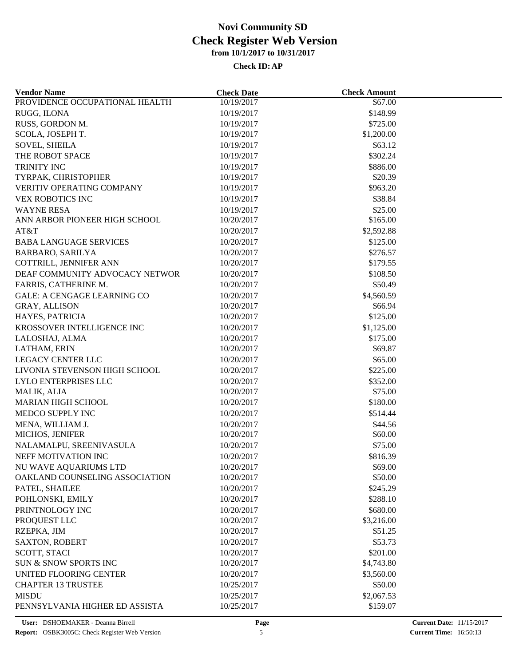| <b>Vendor Name</b>                 | <b>Check Date</b>        | <b>Check Amount</b> |  |
|------------------------------------|--------------------------|---------------------|--|
| PROVIDENCE OCCUPATIONAL HEALTH     | 10/19/2017               | \$67.00             |  |
| RUGG, ILONA                        | 10/19/2017               | \$148.99            |  |
| RUSS, GORDON M.                    | 10/19/2017               | \$725.00            |  |
| SCOLA, JOSEPH T.                   | 10/19/2017               | \$1,200.00          |  |
| <b>SOVEL, SHEILA</b>               | 10/19/2017               | \$63.12             |  |
| THE ROBOT SPACE                    | 10/19/2017               | \$302.24            |  |
| TRINITY INC                        | 10/19/2017               | \$886.00            |  |
| TYRPAK, CHRISTOPHER                | 10/19/2017               | \$20.39             |  |
| VERITIV OPERATING COMPANY          | 10/19/2017               | \$963.20            |  |
| <b>VEX ROBOTICS INC</b>            | 10/19/2017               | \$38.84             |  |
| <b>WAYNE RESA</b>                  | 10/19/2017               | \$25.00             |  |
| ANN ARBOR PIONEER HIGH SCHOOL      | 10/20/2017               | \$165.00            |  |
| AT&T                               | 10/20/2017               | \$2,592.88          |  |
| <b>BABA LANGUAGE SERVICES</b>      | 10/20/2017               | \$125.00            |  |
| <b>BARBARO, SARILYA</b>            | 10/20/2017               | \$276.57            |  |
| COTTRILL, JENNIFER ANN             | 10/20/2017               | \$179.55            |  |
| DEAF COMMUNITY ADVOCACY NETWOR     | 10/20/2017               | \$108.50            |  |
| FARRIS, CATHERINE M.               | 10/20/2017               | \$50.49             |  |
| <b>GALE: A CENGAGE LEARNING CO</b> | 10/20/2017               | \$4,560.59          |  |
| GRAY, ALLISON                      | 10/20/2017               | \$66.94             |  |
| HAYES, PATRICIA                    | 10/20/2017               | \$125.00            |  |
| KROSSOVER INTELLIGENCE INC         | 10/20/2017               | \$1,125.00          |  |
| LALOSHAJ, ALMA                     | 10/20/2017               | \$175.00            |  |
| LATHAM, ERIN                       | 10/20/2017               | \$69.87             |  |
| <b>LEGACY CENTER LLC</b>           | 10/20/2017               | \$65.00             |  |
| LIVONIA STEVENSON HIGH SCHOOL      | 10/20/2017               | \$225.00            |  |
| LYLO ENTERPRISES LLC               | 10/20/2017               | \$352.00            |  |
| MALIK, ALIA                        | 10/20/2017               | \$75.00             |  |
| <b>MARIAN HIGH SCHOOL</b>          | 10/20/2017               | \$180.00            |  |
| MEDCO SUPPLY INC                   | 10/20/2017               | \$514.44            |  |
|                                    |                          |                     |  |
| MENA, WILLIAM J.                   | 10/20/2017<br>10/20/2017 | \$44.56<br>\$60.00  |  |
| MICHOS, JENIFER                    |                          | \$75.00             |  |
| NALAMALPU, SREENIVASULA            | 10/20/2017               |                     |  |
| NEFF MOTIVATION INC                | 10/20/2017               | \$816.39            |  |
| NU WAVE AQUARIUMS LTD              | 10/20/2017               | \$69.00             |  |
| OAKLAND COUNSELING ASSOCIATION     | 10/20/2017               | \$50.00             |  |
| PATEL, SHAILEE                     | 10/20/2017               | \$245.29            |  |
| POHLONSKI, EMILY                   | 10/20/2017               | \$288.10            |  |
| PRINTNOLOGY INC                    | 10/20/2017               | \$680.00            |  |
| PROQUEST LLC                       | 10/20/2017               | \$3,216.00          |  |
| RZEPKA, JIM                        | 10/20/2017               | \$51.25             |  |
| <b>SAXTON, ROBERT</b>              | 10/20/2017               | \$53.73             |  |
| SCOTT, STACI                       | 10/20/2017               | \$201.00            |  |
| SUN & SNOW SPORTS INC              | 10/20/2017               | \$4,743.80          |  |
| UNITED FLOORING CENTER             | 10/20/2017               | \$3,560.00          |  |
| <b>CHAPTER 13 TRUSTEE</b>          | 10/25/2017               | \$50.00             |  |
| <b>MISDU</b>                       | 10/25/2017               | \$2,067.53          |  |
| PENNSYLVANIA HIGHER ED ASSISTA     | 10/25/2017               | \$159.07            |  |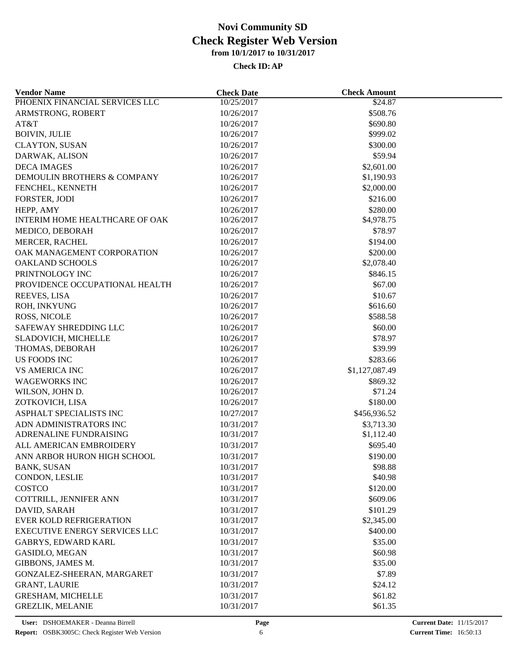| <b>Vendor Name</b>                   | <b>Check Date</b> | <b>Check Amount</b> |  |
|--------------------------------------|-------------------|---------------------|--|
| PHOENIX FINANCIAL SERVICES LLC       | 10/25/2017        | \$24.87             |  |
| ARMSTRONG, ROBERT                    | 10/26/2017        | \$508.76            |  |
| AT&T                                 | 10/26/2017        | \$690.80            |  |
| <b>BOIVIN, JULIE</b>                 | 10/26/2017        | \$999.02            |  |
| <b>CLAYTON, SUSAN</b>                | 10/26/2017        | \$300.00            |  |
| DARWAK, ALISON                       | 10/26/2017        | \$59.94             |  |
| <b>DECA IMAGES</b>                   | 10/26/2017        | \$2,601.00          |  |
| DEMOULIN BROTHERS & COMPANY          | 10/26/2017        | \$1,190.93          |  |
| FENCHEL, KENNETH                     | 10/26/2017        | \$2,000.00          |  |
| FORSTER, JODI                        | 10/26/2017        | \$216.00            |  |
| HEPP, AMY                            | 10/26/2017        | \$280.00            |  |
| INTERIM HOME HEALTHCARE OF OAK       | 10/26/2017        | \$4,978.75          |  |
| MEDICO, DEBORAH                      | 10/26/2017        | \$78.97             |  |
| MERCER, RACHEL                       | 10/26/2017        | \$194.00            |  |
| OAK MANAGEMENT CORPORATION           | 10/26/2017        | \$200.00            |  |
| <b>OAKLAND SCHOOLS</b>               | 10/26/2017        | \$2,078.40          |  |
| PRINTNOLOGY INC                      | 10/26/2017        | \$846.15            |  |
| PROVIDENCE OCCUPATIONAL HEALTH       | 10/26/2017        | \$67.00             |  |
| REEVES, LISA                         | 10/26/2017        | \$10.67             |  |
| ROH, INKYUNG                         | 10/26/2017        | \$616.60            |  |
| ROSS, NICOLE                         | 10/26/2017        | \$588.58            |  |
|                                      |                   |                     |  |
| SAFEWAY SHREDDING LLC                | 10/26/2017        | \$60.00             |  |
| SLADOVICH, MICHELLE                  | 10/26/2017        | \$78.97             |  |
| THOMAS, DEBORAH                      | 10/26/2017        | \$39.99             |  |
| <b>US FOODS INC</b>                  | 10/26/2017        | \$283.66            |  |
| <b>VS AMERICA INC</b>                | 10/26/2017        | \$1,127,087.49      |  |
| <b>WAGEWORKS INC</b>                 | 10/26/2017        | \$869.32            |  |
| WILSON, JOHN D.                      | 10/26/2017        | \$71.24             |  |
| ZOTKOVICH, LISA                      | 10/26/2017        | \$180.00            |  |
| ASPHALT SPECIALISTS INC              | 10/27/2017        | \$456,936.52        |  |
| ADN ADMINISTRATORS INC               | 10/31/2017        | \$3,713.30          |  |
| ADRENALINE FUNDRAISING               | 10/31/2017        | \$1,112.40          |  |
| ALL AMERICAN EMBROIDERY              | 10/31/2017        | \$695.40            |  |
| ANN ARBOR HURON HIGH SCHOOL          | 10/31/2017        | \$190.00            |  |
| <b>BANK, SUSAN</b>                   | 10/31/2017        | \$98.88             |  |
| CONDON, LESLIE                       | 10/31/2017        | \$40.98             |  |
| COSTCO                               | 10/31/2017        | \$120.00            |  |
| COTTRILL, JENNIFER ANN               | 10/31/2017        | \$609.06            |  |
| DAVID, SARAH                         | 10/31/2017        | \$101.29            |  |
| <b>EVER KOLD REFRIGERATION</b>       | 10/31/2017        | \$2,345.00          |  |
| <b>EXECUTIVE ENERGY SERVICES LLC</b> | 10/31/2017        | \$400.00            |  |
| <b>GABRYS, EDWARD KARL</b>           | 10/31/2017        | \$35.00             |  |
| <b>GASIDLO, MEGAN</b>                | 10/31/2017        | \$60.98             |  |
| GIBBONS, JAMES M.                    | 10/31/2017        | \$35.00             |  |
| GONZALEZ-SHEERAN, MARGARET           | 10/31/2017        | \$7.89              |  |
| <b>GRANT, LAURIE</b>                 | 10/31/2017        | \$24.12             |  |
| <b>GRESHAM, MICHELLE</b>             | 10/31/2017        | \$61.82             |  |
| <b>GREZLIK, MELANIE</b>              | 10/31/2017        | \$61.35             |  |
|                                      |                   |                     |  |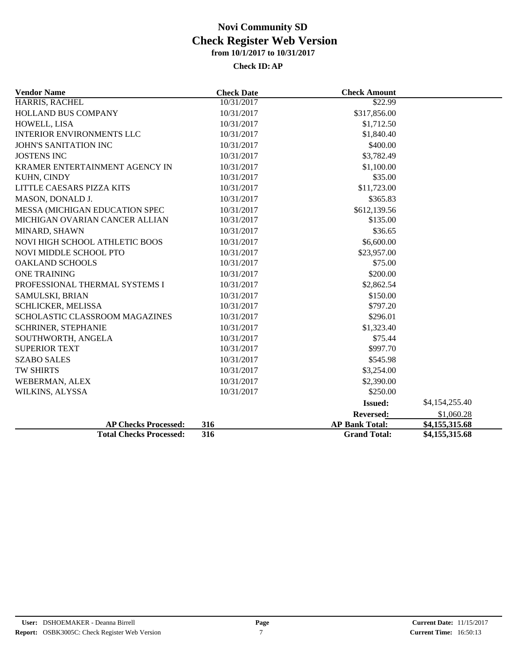| <b>Vendor Name</b>               | <b>Check Date</b> | <b>Check Amount</b>   |                |
|----------------------------------|-------------------|-----------------------|----------------|
| HARRIS, RACHEL                   | 10/31/2017        | \$22.99               |                |
| <b>HOLLAND BUS COMPANY</b>       | 10/31/2017        | \$317,856.00          |                |
| HOWELL, LISA                     | 10/31/2017        | \$1,712.50            |                |
| <b>INTERIOR ENVIRONMENTS LLC</b> | 10/31/2017        | \$1,840.40            |                |
| JOHN'S SANITATION INC            | 10/31/2017        | \$400.00              |                |
| <b>JOSTENS INC</b>               | 10/31/2017        | \$3,782.49            |                |
| KRAMER ENTERTAINMENT AGENCY IN   | 10/31/2017        | \$1,100.00            |                |
| KUHN, CINDY                      | 10/31/2017        | \$35.00               |                |
| LITTLE CAESARS PIZZA KITS        | 10/31/2017        | \$11,723.00           |                |
| MASON, DONALD J.                 | 10/31/2017        | \$365.83              |                |
| MESSA (MICHIGAN EDUCATION SPEC   | 10/31/2017        | \$612,139.56          |                |
| MICHIGAN OVARIAN CANCER ALLIAN   | 10/31/2017        | \$135.00              |                |
| MINARD, SHAWN                    | 10/31/2017        | \$36.65               |                |
| NOVI HIGH SCHOOL ATHLETIC BOOS   | 10/31/2017        | \$6,600.00            |                |
| NOVI MIDDLE SCHOOL PTO           | 10/31/2017        | \$23,957.00           |                |
| <b>OAKLAND SCHOOLS</b>           | 10/31/2017        | \$75.00               |                |
| <b>ONE TRAINING</b>              | 10/31/2017        | \$200.00              |                |
| PROFESSIONAL THERMAL SYSTEMS I   | 10/31/2017        | \$2,862.54            |                |
| SAMULSKI, BRIAN                  | 10/31/2017        | \$150.00              |                |
| SCHLICKER, MELISSA               | 10/31/2017        | \$797.20              |                |
| SCHOLASTIC CLASSROOM MAGAZINES   | 10/31/2017        | \$296.01              |                |
| SCHRINER, STEPHANIE              | 10/31/2017        | \$1,323.40            |                |
| SOUTHWORTH, ANGELA               | 10/31/2017        | \$75.44               |                |
| <b>SUPERIOR TEXT</b>             | 10/31/2017        | \$997.70              |                |
| <b>SZABO SALES</b>               | 10/31/2017        | \$545.98              |                |
| TW SHIRTS                        | 10/31/2017        | \$3,254.00            |                |
| WEBERMAN, ALEX                   | 10/31/2017        | \$2,390.00            |                |
| WILKINS, ALYSSA                  | 10/31/2017        | \$250.00              |                |
|                                  |                   | <b>Issued:</b>        | \$4,154,255.40 |
|                                  |                   | <b>Reversed:</b>      | \$1,060.28     |
| <b>AP Checks Processed:</b>      | 316               | <b>AP Bank Total:</b> | \$4,155,315.68 |
| <b>Total Checks Processed:</b>   | 316               | <b>Grand Total:</b>   | \$4,155,315.68 |